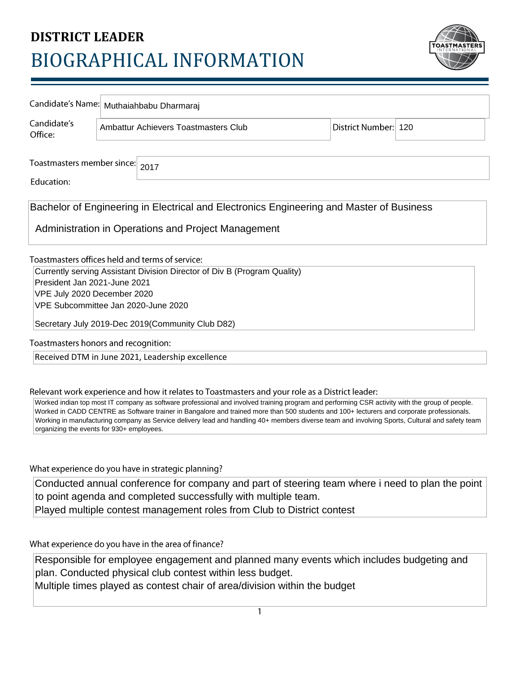## **DISTRICT LEADER** BIOGRAPHICAL INFORMATION



|                                                                                                                                                                                                                                                                                                                                          | Candidate's Name: Muthaiahbabu Dharmaraj |                                      |  |                      |  |  |
|------------------------------------------------------------------------------------------------------------------------------------------------------------------------------------------------------------------------------------------------------------------------------------------------------------------------------------------|------------------------------------------|--------------------------------------|--|----------------------|--|--|
| Candidate's<br>Office:                                                                                                                                                                                                                                                                                                                   |                                          | Ambattur Achievers Toastmasters Club |  | District Number: 120 |  |  |
|                                                                                                                                                                                                                                                                                                                                          |                                          |                                      |  |                      |  |  |
| Toastmasters member since:<br>2017                                                                                                                                                                                                                                                                                                       |                                          |                                      |  |                      |  |  |
| Education:                                                                                                                                                                                                                                                                                                                               |                                          |                                      |  |                      |  |  |
| Bachelor of Engineering in Electrical and Electronics Engineering and Master of Business                                                                                                                                                                                                                                                 |                                          |                                      |  |                      |  |  |
| Administration in Operations and Project Management                                                                                                                                                                                                                                                                                      |                                          |                                      |  |                      |  |  |
| Toastmasters offices held and terms of service:                                                                                                                                                                                                                                                                                          |                                          |                                      |  |                      |  |  |
| Currently serving Assistant Division Director of Div B (Program Quality)                                                                                                                                                                                                                                                                 |                                          |                                      |  |                      |  |  |
| President Jan 2021-June 2021<br>VPE July 2020 December 2020                                                                                                                                                                                                                                                                              |                                          |                                      |  |                      |  |  |
| VPE Subcommittee Jan 2020-June 2020                                                                                                                                                                                                                                                                                                      |                                          |                                      |  |                      |  |  |
| Secretary July 2019-Dec 2019(Community Club D82)                                                                                                                                                                                                                                                                                         |                                          |                                      |  |                      |  |  |
| Toastmasters honors and recognition:                                                                                                                                                                                                                                                                                                     |                                          |                                      |  |                      |  |  |
| Received DTM in June 2021, Leadership excellence                                                                                                                                                                                                                                                                                         |                                          |                                      |  |                      |  |  |
|                                                                                                                                                                                                                                                                                                                                          |                                          |                                      |  |                      |  |  |
| Relevant work experience and how it relates to Toastmasters and your role as a District leader:<br>Worked indian top most IT company as software professional and involved training program and performing CSR activity with the group of people.                                                                                        |                                          |                                      |  |                      |  |  |
| Worked in CADD CENTRE as Software trainer in Bangalore and trained more than 500 students and 100+ lecturers and corporate professionals.<br>Working in manufacturing company as Service delivery lead and handling 40+ members diverse team and involving Sports, Cultural and safety team<br>organizing the events for 930+ employees. |                                          |                                      |  |                      |  |  |
|                                                                                                                                                                                                                                                                                                                                          |                                          |                                      |  |                      |  |  |
| What experience do you have in strategic planning?                                                                                                                                                                                                                                                                                       |                                          |                                      |  |                      |  |  |
| Conducted annual conference for company and part of steering team where i need to plan the point                                                                                                                                                                                                                                         |                                          |                                      |  |                      |  |  |
| to point agenda and completed successfully with multiple team.                                                                                                                                                                                                                                                                           |                                          |                                      |  |                      |  |  |
| Played multiple contest management roles from Club to District contest                                                                                                                                                                                                                                                                   |                                          |                                      |  |                      |  |  |
|                                                                                                                                                                                                                                                                                                                                          |                                          |                                      |  |                      |  |  |
| What experience do you have in the area of finance?                                                                                                                                                                                                                                                                                      |                                          |                                      |  |                      |  |  |

Responsible for employee engagement and planned many events which includes budgeting and plan. Conducted physical club contest within less budget.

Multiple times played as contest chair of area/division within the budget